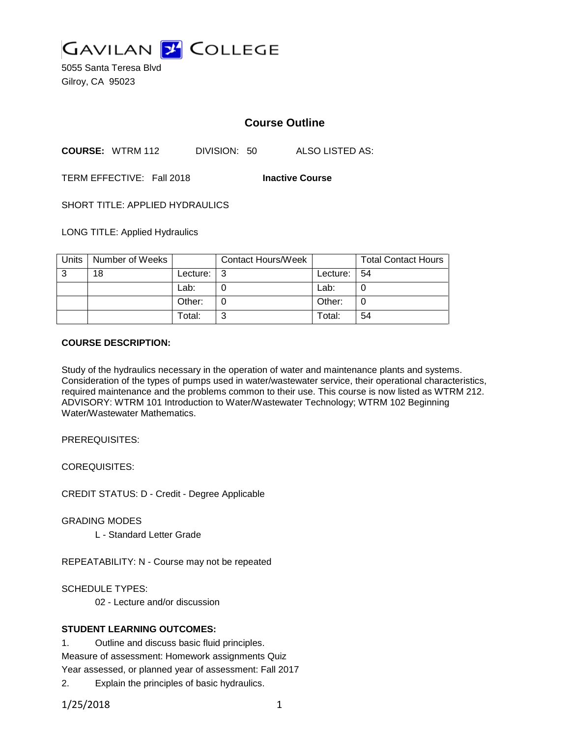

5055 Santa Teresa Blvd Gilroy, CA 95023

# **Course Outline**

**COURSE:** WTRM 112 DIVISION: 50 ALSO LISTED AS:

TERM EFFECTIVE: Fall 2018 **Inactive Course**

SHORT TITLE: APPLIED HYDRAULICS

LONG TITLE: Applied Hydraulics

| Units | Number of Weeks |          | <b>Contact Hours/Week</b> |                | <b>Total Contact Hours</b> |
|-------|-----------------|----------|---------------------------|----------------|----------------------------|
| 3     | 18              | Lecture: | l 3                       | Lecture: $ 54$ |                            |
|       |                 | Lab:     |                           | Lab:           |                            |
|       |                 | Other:   |                           | Other:         |                            |
|       |                 | Total:   | ົ                         | Total:         | 54                         |

#### **COURSE DESCRIPTION:**

Study of the hydraulics necessary in the operation of water and maintenance plants and systems. Consideration of the types of pumps used in water/wastewater service, their operational characteristics, required maintenance and the problems common to their use. This course is now listed as WTRM 212. ADVISORY: WTRM 101 Introduction to Water/Wastewater Technology; WTRM 102 Beginning Water/Wastewater Mathematics.

PREREQUISITES:

COREQUISITES:

CREDIT STATUS: D - Credit - Degree Applicable

GRADING MODES

L - Standard Letter Grade

REPEATABILITY: N - Course may not be repeated

SCHEDULE TYPES:

02 - Lecture and/or discussion

### **STUDENT LEARNING OUTCOMES:**

1. Outline and discuss basic fluid principles.

Measure of assessment: Homework assignments Quiz

Year assessed, or planned year of assessment: Fall 2017

2. Explain the principles of basic hydraulics.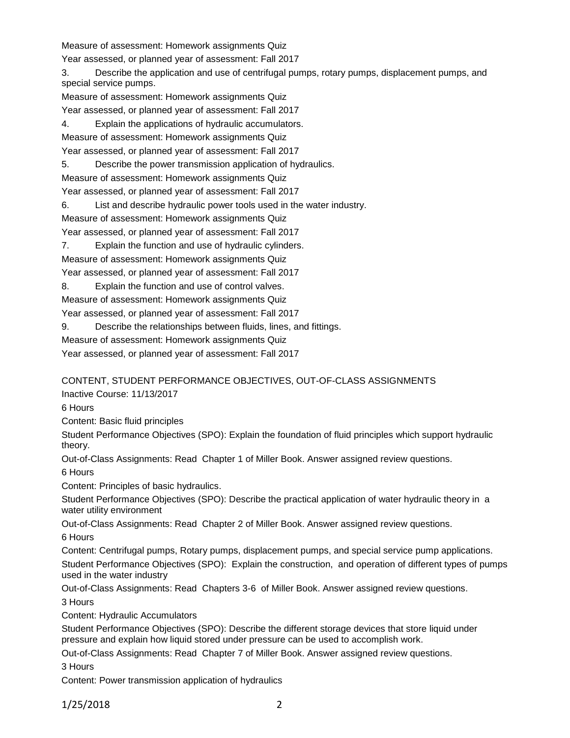Measure of assessment: Homework assignments Quiz

Year assessed, or planned year of assessment: Fall 2017

3. Describe the application and use of centrifugal pumps, rotary pumps, displacement pumps, and special service pumps.

Measure of assessment: Homework assignments Quiz

Year assessed, or planned year of assessment: Fall 2017

4. Explain the applications of hydraulic accumulators.

Measure of assessment: Homework assignments Quiz

Year assessed, or planned year of assessment: Fall 2017

5. Describe the power transmission application of hydraulics.

Measure of assessment: Homework assignments Quiz

Year assessed, or planned year of assessment: Fall 2017

6. List and describe hydraulic power tools used in the water industry.

Measure of assessment: Homework assignments Quiz

Year assessed, or planned year of assessment: Fall 2017

7. Explain the function and use of hydraulic cylinders.

Measure of assessment: Homework assignments Quiz

Year assessed, or planned year of assessment: Fall 2017

8. Explain the function and use of control valves.

Measure of assessment: Homework assignments Quiz

Year assessed, or planned year of assessment: Fall 2017

9. Describe the relationships between fluids, lines, and fittings.

Measure of assessment: Homework assignments Quiz

Year assessed, or planned year of assessment: Fall 2017

CONTENT, STUDENT PERFORMANCE OBJECTIVES, OUT-OF-CLASS ASSIGNMENTS

Inactive Course: 11/13/2017

6 Hours

Content: Basic fluid principles

Student Performance Objectives (SPO): Explain the foundation of fluid principles which support hydraulic theory.

Out-of-Class Assignments: Read Chapter 1 of Miller Book. Answer assigned review questions.

6 Hours

Content: Principles of basic hydraulics.

Student Performance Objectives (SPO): Describe the practical application of water hydraulic theory in a water utility environment

Out-of-Class Assignments: Read Chapter 2 of Miller Book. Answer assigned review questions. 6 Hours

Content: Centrifugal pumps, Rotary pumps, displacement pumps, and special service pump applications. Student Performance Objectives (SPO): Explain the construction, and operation of different types of pumps used in the water industry

Out-of-Class Assignments: Read Chapters 3-6 of Miller Book. Answer assigned review questions.

3 Hours

Content: Hydraulic Accumulators

Student Performance Objectives (SPO): Describe the different storage devices that store liquid under pressure and explain how liquid stored under pressure can be used to accomplish work.

Out-of-Class Assignments: Read Chapter 7 of Miller Book. Answer assigned review questions.

3 Hours

Content: Power transmission application of hydraulics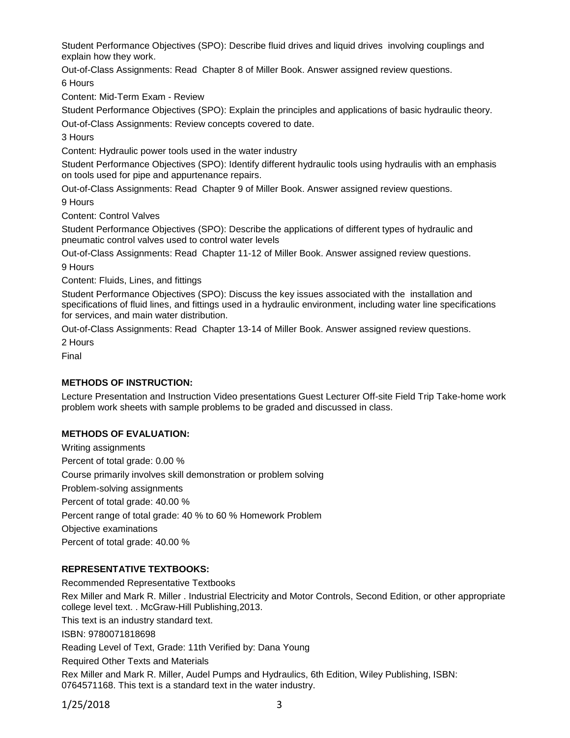Student Performance Objectives (SPO): Describe fluid drives and liquid drives involving couplings and explain how they work.

Out-of-Class Assignments: Read Chapter 8 of Miller Book. Answer assigned review questions. 6 Hours

Content: Mid-Term Exam - Review

Student Performance Objectives (SPO): Explain the principles and applications of basic hydraulic theory. Out-of-Class Assignments: Review concepts covered to date.

3 Hours

Content: Hydraulic power tools used in the water industry

Student Performance Objectives (SPO): Identify different hydraulic tools using hydraulis with an emphasis on tools used for pipe and appurtenance repairs.

Out-of-Class Assignments: Read Chapter 9 of Miller Book. Answer assigned review questions.

9 Hours

Content: Control Valves

Student Performance Objectives (SPO): Describe the applications of different types of hydraulic and pneumatic control valves used to control water levels

Out-of-Class Assignments: Read Chapter 11-12 of Miller Book. Answer assigned review questions.

9 Hours

Content: Fluids, Lines, and fittings

Student Performance Objectives (SPO): Discuss the key issues associated with the installation and specifications of fluid lines, and fittings used in a hydraulic environment, including water line specifications for services, and main water distribution.

Out-of-Class Assignments: Read Chapter 13-14 of Miller Book. Answer assigned review questions.

2 Hours

Final

### **METHODS OF INSTRUCTION:**

Lecture Presentation and Instruction Video presentations Guest Lecturer Off-site Field Trip Take-home work problem work sheets with sample problems to be graded and discussed in class.

### **METHODS OF EVALUATION:**

Writing assignments Percent of total grade: 0.00 % Course primarily involves skill demonstration or problem solving Problem-solving assignments Percent of total grade: 40.00 % Percent range of total grade: 40 % to 60 % Homework Problem Objective examinations Percent of total grade: 40.00 %

### **REPRESENTATIVE TEXTBOOKS:**

Recommended Representative Textbooks Rex Miller and Mark R. Miller . Industrial Electricity and Motor Controls, Second Edition, or other appropriate college level text. . McGraw-Hill Publishing,2013. This text is an industry standard text. ISBN: 9780071818698 Reading Level of Text, Grade: 11th Verified by: Dana Young Required Other Texts and Materials Rex Miller and Mark R. Miller, Audel Pumps and Hydraulics, 6th Edition, Wiley Publishing, ISBN: 0764571168. This text is a standard text in the water industry.